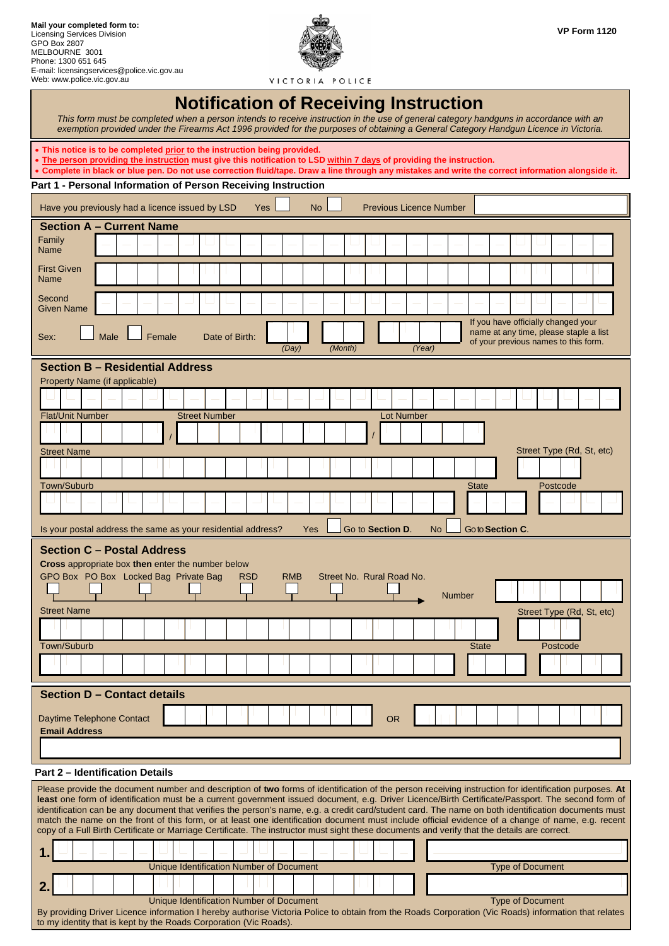

VICTORIA POLICE

## **Notification of Receiving Instruction**  This form must be completed when a person intends to receive instruction in the use of general category handguns in accordance with an *exemption provided under the Firearms Act 1996 provided for the purposes of obtaining a General Category Handgun Licence in Victoria.*  • **This notice is to be completed prior to the instruction being provided.**  • **The person providing the instruction must give this notification to LSD within 7 days of providing the instruction.**  • Complete in black or blue pen. Do not use correction fluid/tape. Draw a line through any mistakes and write the correct information alongside it. **Part 1 - Personal Information of Person Receiving Instruction** Have you previously had a licence issued by  $LSD$  Yes  $\Box$  No  $\Box$  Previous Licence Number **Section A – Current Name**  Family Name First Given Name **Second** Given Name If you have officially changed your name at any time, please staple a list Sex:  $\Box$  Male  $\Box$  Female Date of Birth: of your previous names to this form. *(Day) (Month) (Year)* **Section B – Residential Address**  Property Name (if applicable) Flat/Unit Number Street Number Lot Number / / Street Name Street Type (Rd, St, etc) and Street Type (Rd, St, etc) and Street Type (Rd, St, etc) Town/Suburb State Postcode Product in the Control of the Control of the Control of the State State Postcode Is your postal address the same as your residential address? Yes Go to **Section D.** No Go to **Section C**. **Section C – Postal Address Cross** appropriate box **then** enter the number below GPO Box PO Box Locked Bag Private Bag RSD RMB Street No. Rural Road No. I. Number Street Name Street Type (Rd, St, etc) and Street Type (Rd, St, etc) and Street Type (Rd, St, etc) Town/Suburb Postcode Postcode Postcode Postcode Postcode Postcode Postcode Postcode Postcode Postcode Postcode **Section D – Contact details**  Daytime Telephone Contact | | | | | | | | | | | | | | OR **Email Address Part 2 – Identification Details** Please provide the document number and description of **two** forms of identification of the person receiving instruction for identification purposes. **At least** one form of identification must be a current government issued document, e.g. Driver Licence/Birth Certificate/Passport. The second form of identification can be any document that verifies the person's name, e.g. a credit card/student card. The name on both identification documents must match the name on the front of this form, or at least one identification document must include official evidence of a change of name, e.g. recent copy of a Full Birth Certificate or Marriage Certificate. The instructor must sight these documents and verify that the details are correct. **1.**  Unique Identification Number of Document Type of Document Type of Document **2.**

Unique Identification Number of Document Type of Document Type of Document By providing Driver Licence information I hereby authorise Victoria Police to obtain from the Roads Corporation (Vic Roads) information that relates to my identity that is kept by the Roads Corporation (Vic Roads).